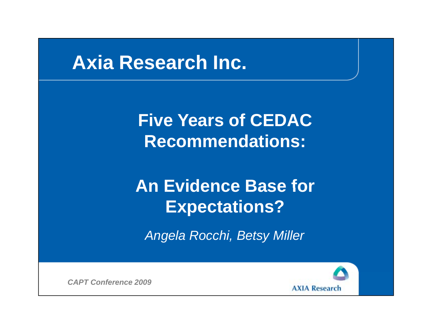#### **Axia Research Inc.**

**Five Years of CEDAC Recommendations:**

# **An Evidence Base** for **Expectations?**

*Angela Rocchi, Betsy Miller*

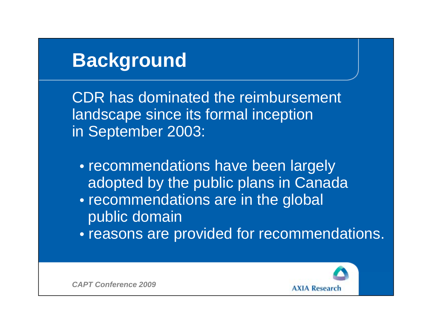# **Background**

CDR has dominated the reimbursement landscape since its formal inception in September 2003:

- recommendations have been largely adopted by the public plans in Canada
- recommendations are in the global public domain
- reasons are provided for recommendations.

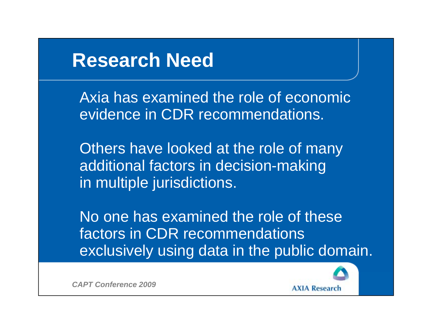#### **Research Need**the contract of the contract of the contract of the contract of the contract of the contract of the contract of

Axia has examined the role of economicevidence in CDR recommendations.

Others have looked at the role of many additional factors in decision-making in multiple jurisdictions.

No one has examined the role of thesefactors in CDR recommendations exclusively using data in the public domain.

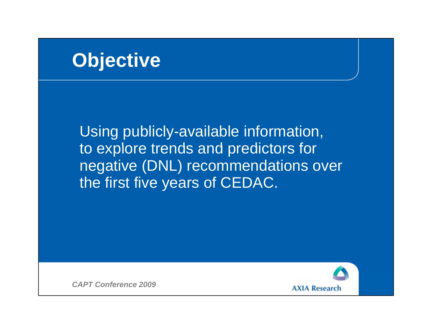# **Objective**

Using publicly-available information, to explore trends and predictors for negative (DNL) recommendations over the first five years of CEDAC.

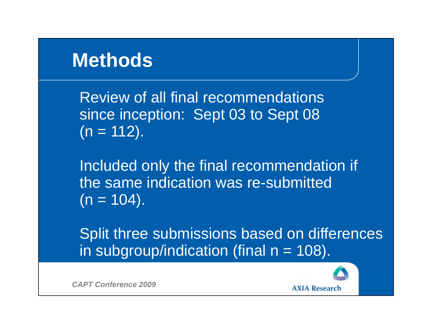# **Methods**

Review of all final recommendationssince inception: Sept 03 to Sept 08  $(n = 112)$ .

Included only the final recommendation if the same indication was re-submitted  $(n = 104)$ .

Split three submissions based on differences in subgroup/indication (final  $n = 108$ ).

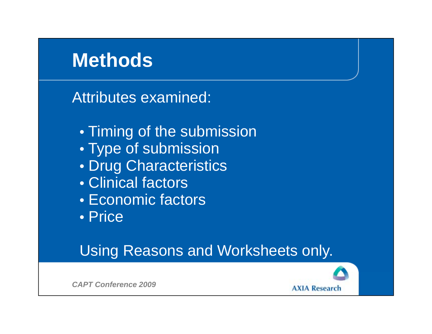# **Methods**

Attributes examined:

- Timing of the submission
- $\bullet$  Type of submission
- Drug Characteristics
- Clinical factors
- Economic factors
- Price

#### Using Reasons and Worksheets only.



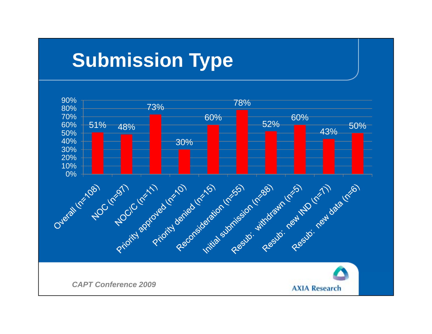# **Submission Type**

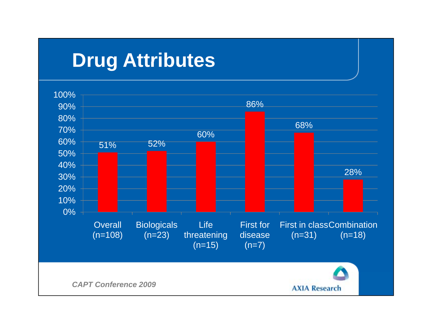# **Drug Attributes**

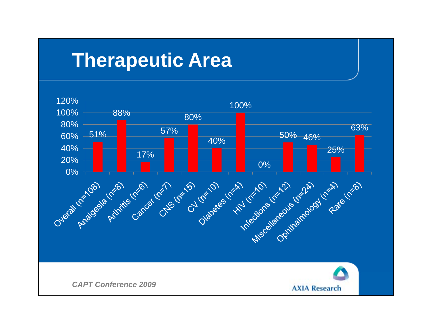# **Therapeutic Area**

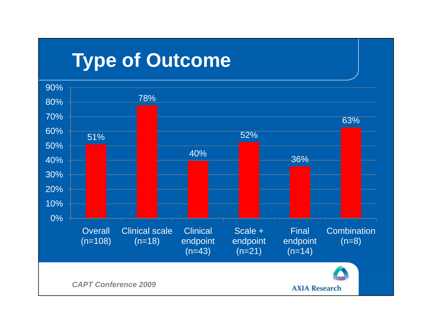# **Type of Outcome**

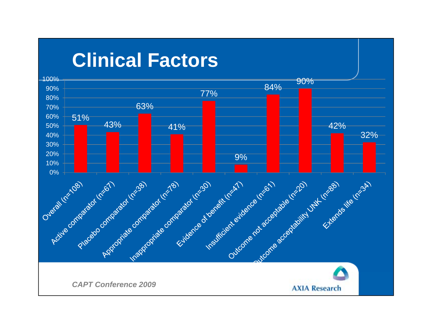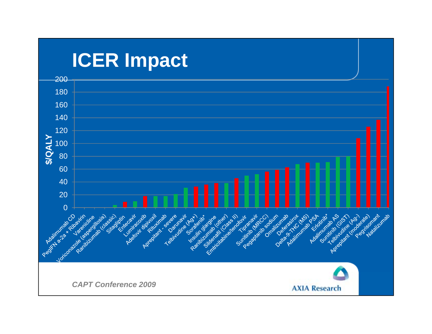# **ICER Impact**

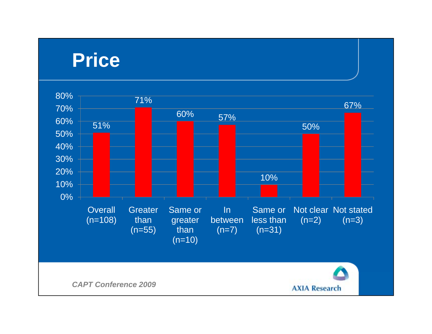#### **Price**

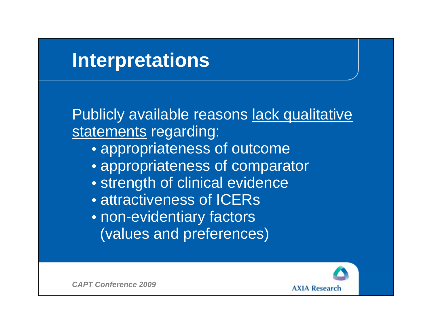# **Interpretations**

Publicly available reasons lack qualitative statements regarding:

- $\bullet$  appropriateness of outcome
- appropriateness of comparator
- strength of clinical evidence
- attractiveness of ICERs
- non-evidentiary factors (values and preferences)

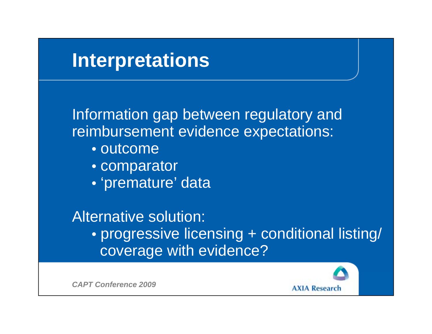

*CAPT Conference 2009*

**AXIA Research**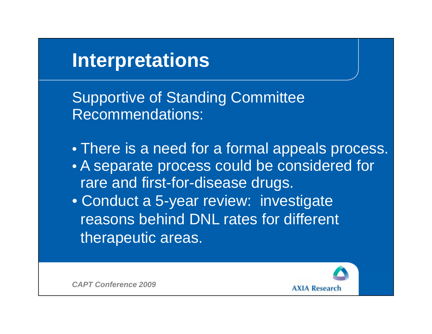# **Interpretations**

Supportive of Standing Committee Recommendations:

 $\bullet$  There is a need for a formal appeals process.

- A separate process could be considered for rare and first-for-disease drugs.
- Conduct a 5-year review: investigate reasons behind DNL rates for different therapeutic areas.